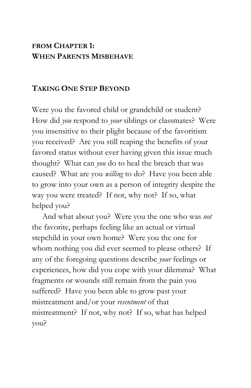## **FROM CHAPTER 1: WHEN PARENTS MISBEHAVE**

## **TAKING ONE STEP BEYOND**

Were you the favored child or grandchild or student? How did *you* respond to *your* siblings or classmates? Were you insensitive to their plight because of the favoritism you received? Are you still reaping the benefits of your favored status without ever having given this issue much thought? What can *you* do to heal the breach that was caused? What are you *willing* to do? Have you been able to grow into your own as a person of integrity despite the way you were treated? If not, why not? If so, what helped you?

 And what about you? Were you the one who was *not*  the favorite, perhaps feeling like an actual or virtual stepchild in your own home? Were you the one for whom nothing you did ever seemed to please others? If any of the foregoing questions describe *your* feelings or experiences, how did you cope with your dilemma? What fragments or wounds still remain from the pain you suffered? Have you been able to grow past your mistreatment and/or your *resentment* of that mistreatment? If not, why not? If so, what has helped you?